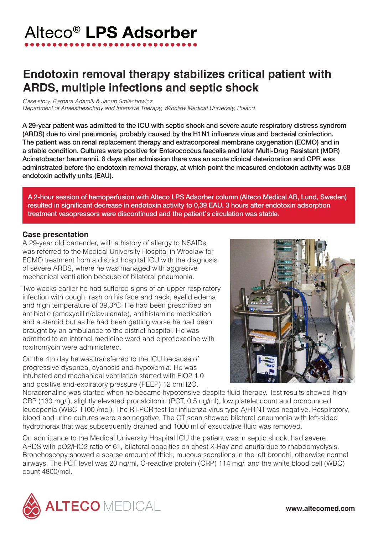## Alteco<sup>®</sup> LPS Adsorber

## **Endotoxin removal therapy stabilizes critical patient with ARDS, multiple infections and septic shock**

*Case story. Barbara Adamik & Jacub Smiechowicz Department of Anaesthesiology and Intensive Therapy, Wroclaw Medical University, Poland*

A 29-year patient was admitted to the ICU with septic shock and severe acute respiratory distress syndrom (ARDS) due to viral pneumonia, probably caused by the H1N1 influenza virus and bacterial coinfection. The patient was on renal replacement therapy and extracorporeal membrane oxygenation (ECMO) and in a stable condition. Cultures were positive for Enterococcus faecalis and later Multi-Drug Resistant (MDR) Acinetobacter baumannii. 8 days after admission there was an acute clinical deterioration and CPR was adminstrated before the endotoxin removal therapy, at which point the measured endotoxin activity was 0,68 endotoxin activity units (EAU).

A 2-hour session of hemoperfusion with Alteco LPS Adsorber column (Alteco Medical AB, Lund, Sweden) resulted in significant decrease in endotoxin activity to 0,39 EAU. 3 hours after endotoxin adsorption treatment vasopressors were discontinued and the patient's circulation was stable.

## **Case presentation**

A 29-year old bartender, with a history of allergy to NSAIDs, was referred to the Medical University Hospital in Wroclaw for ECMO treatment from a district hospital ICU with the diagnosis of severe ARDS, where he was managed with aggresive mechanical ventilation because of bilateral pneumonia.

Two weeks earlier he had suffered signs of an upper respiratory infection with cough, rash on his face and neck, eyelid edema and high temperature of 39,3°C. He had been prescribed an antibiotic (amoxycillin/clavulanate), antihistamine medication and a steroid but as he had been getting worse he had been braught by an ambulance to the district hospital. He was admitted to an internal medicine ward and ciprofloxacine with roxitromycin were administered.

On the 4th day he was transferred to the ICU because of progressive dyspnea, cyanosis and hypoxemia. He was intubated and mechanical ventilation started with FiO2 1,0 and positive end-expiratory pressure (PEEP) 12 cmH2O.



Noradrenaline was started when he became hypotensive despite fluid therapy. Test results showed high CRP (130 mg/l), slightly elevated procalcitonin (PCT, 0,5 ng/ml), low platelet count and pronounced leucopenia (WBC 1100 /mcl). The RT-PCR test for influenza virus type A/H1N1 was negative. Respiratory, blood and urine cultures were also negative. The CT scan showed bilateral pneumonia with left-sided hydrothorax that was subsequently drained and 1000 ml of exsudative fluid was removed.

On admittance to the Medical University Hospital ICU the patient was in septic shock, had severe ARDS with pO2/FiO2 ratio of 61, bilateral opacities on chest X-Ray and anuria due to rhabdomyolysis. Bronchoscopy showed a scarse amount of thick, mucous secretions in the left bronchi, otherwise normal airways. The PCT level was 20 ng/ml, C-reactive protein (CRP) 114 mg/l and the white blood cell (WBC) count 4800/mcl.